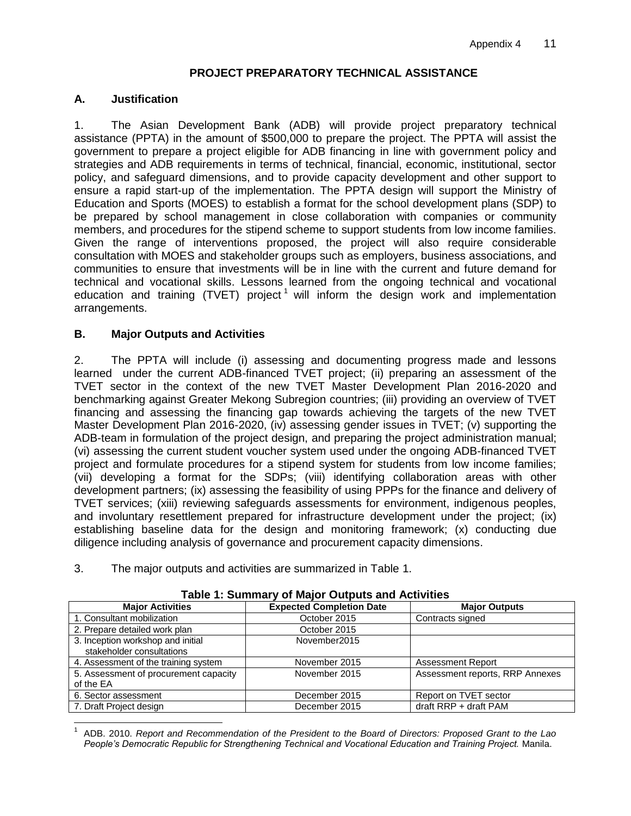# **PROJECT PREPARATORY TECHNICAL ASSISTANCE**

# **A. Justification**

1. The Asian Development Bank (ADB) will provide project preparatory technical assistance (PPTA) in the amount of \$500,000 to prepare the project. The PPTA will assist the government to prepare a project eligible for ADB financing in line with government policy and strategies and ADB requirements in terms of technical, financial, economic, institutional, sector policy, and safeguard dimensions, and to provide capacity development and other support to ensure a rapid start-up of the implementation. The PPTA design will support the Ministry of Education and Sports (MOES) to establish a format for the school development plans (SDP) to be prepared by school management in close collaboration with companies or community members, and procedures for the stipend scheme to support students from low income families. Given the range of interventions proposed, the project will also require considerable consultation with MOES and stakeholder groups such as employers, business associations, and communities to ensure that investments will be in line with the current and future demand for technical and vocational skills. Lessons learned from the ongoing technical and vocational education and training (TVET) project<sup>1</sup> will inform the design work and implementation arrangements.

# **B. Major Outputs and Activities**

2. The PPTA will include (i) assessing and documenting progress made and lessons learned under the current ADB-financed TVET project; (ii) preparing an assessment of the TVET sector in the context of the new TVET Master Development Plan 2016-2020 and benchmarking against Greater Mekong Subregion countries; (iii) providing an overview of TVET financing and assessing the financing gap towards achieving the targets of the new TVET Master Development Plan 2016-2020, (iv) assessing gender issues in TVET; (v) supporting the ADB-team in formulation of the project design, and preparing the project administration manual; (vi) assessing the current student voucher system used under the ongoing ADB-financed TVET project and formulate procedures for a stipend system for students from low income families; (vii) developing a format for the SDPs; (viii) identifying collaboration areas with other development partners; (ix) assessing the feasibility of using PPPs for the finance and delivery of TVET services; (xiii) reviewing safeguards assessments for environment, indigenous peoples, and involuntary resettlement prepared for infrastructure development under the project; (ix) establishing baseline data for the design and monitoring framework; (x) conducting due diligence including analysis of governance and procurement capacity dimensions.

3. The major outputs and activities are summarized in Table 1.

| <b>Major Activities</b>                                        | <b>Expected Completion Date</b> | <b>Major Outputs</b>            |  |
|----------------------------------------------------------------|---------------------------------|---------------------------------|--|
| 1. Consultant mobilization                                     | October 2015                    | Contracts signed                |  |
| 2. Prepare detailed work plan                                  | October 2015                    |                                 |  |
| 3. Inception workshop and initial<br>stakeholder consultations | November2015                    |                                 |  |
| 4. Assessment of the training system                           | November 2015                   | <b>Assessment Report</b>        |  |
| 5. Assessment of procurement capacity<br>of the EA             | November 2015                   | Assessment reports, RRP Annexes |  |
| 6. Sector assessment                                           | December 2015                   | Report on TVET sector           |  |
| 7. Draft Project design                                        | December 2015                   | draft RRP + draft PAM           |  |

#### **Table 1: Summary of Major Outputs and Activities**

 $\overline{a}$ 1 ADB. 2010. *Report and Recommendation of the President to the Board of Directors: Proposed Grant to the Lao People's Democratic Republic for Strengthening Technical and Vocational Education and Training Project.* Manila.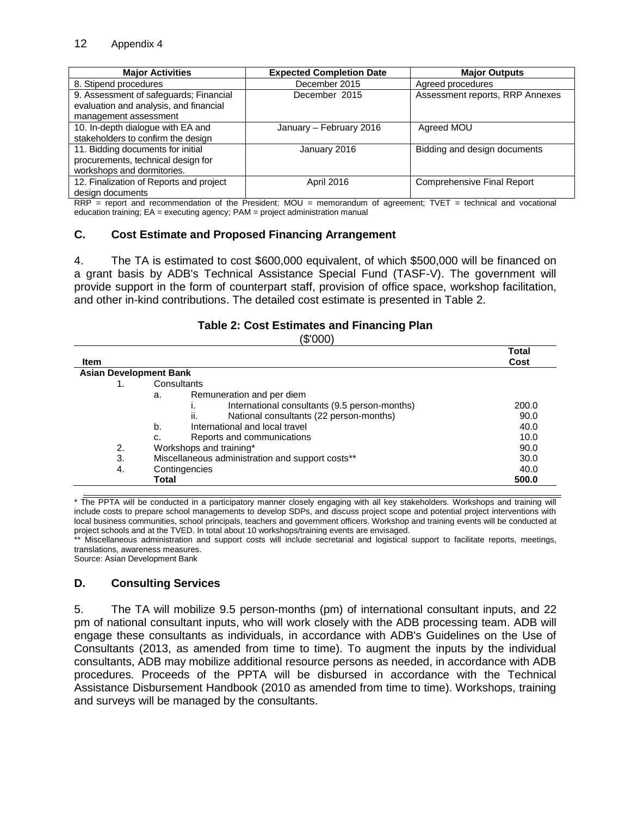| <b>Major Activities</b>                                                                                   | <b>Expected Completion Date</b> | <b>Major Outputs</b>              |
|-----------------------------------------------------------------------------------------------------------|---------------------------------|-----------------------------------|
| 8. Stipend procedures                                                                                     | December 2015                   | Agreed procedures                 |
| 9. Assessment of safeguards; Financial<br>evaluation and analysis, and financial<br>management assessment | December 2015                   | Assessment reports, RRP Annexes   |
| 10. In-depth dialogue with EA and<br>stakeholders to confirm the design                                   | January - February 2016         | Agreed MOU                        |
| 11. Bidding documents for initial<br>procurements, technical design for<br>workshops and dormitories.     | January 2016                    | Bidding and design documents      |
| 12. Finalization of Reports and project<br>design documents                                               | April 2016                      | <b>Comprehensive Final Report</b> |

RRP = report and recommendation of the President; MOU = memorandum of agreement; TVET = technical and vocational education training; EA = executing agency; PAM = project administration manual

### **C. Cost Estimate and Proposed Financing Arrangement**

4. The TA is estimated to cost \$600,000 equivalent, of which \$500,000 will be financed on a grant basis by ADB's Technical Assistance Special Fund (TASF-V). The government will provide support in the form of counterpart staff, provision of office space, workshop facilitation, and other in-kind contributions. The detailed cost estimate is presented in Table 2.

### **Table 2: Cost Estimates and Financing Plan**

(\$'000)

| <b>Item</b>                   |                                                     | Total<br>Cost |
|-------------------------------|-----------------------------------------------------|---------------|
| <b>Asian Development Bank</b> |                                                     |               |
|                               | Consultants                                         |               |
|                               | Remuneration and per diem<br>a.                     |               |
|                               | International consultants (9.5 person-months)<br>ı. | 200.0         |
|                               | National consultants (22 person-months)<br>ii.      | 90.0          |
|                               | International and local travel<br>b.                | 40.0          |
|                               | Reports and communications<br>c.                    | 10.0          |
| 2.                            | Workshops and training*                             | 90.0          |
| 3.                            | Miscellaneous administration and support costs**    | 30.0          |
| 4.                            | Contingencies                                       | 40.0          |
|                               | Total                                               | 500.0         |

\* The PPTA will be conducted in a participatory manner closely engaging with all key stakeholders. Workshops and training will include costs to prepare school managements to develop SDPs, and discuss project scope and potential project interventions with local business communities, school principals, teachers and government officers. Workshop and training events will be conducted at project schools and at the TVED. In total about 10 workshops/training events are envisaged.<br>\*\* Miscellaneous, administeries, and stress of the set of the Miscellaneous administeries and stress of the set

Miscellaneous administration and support costs will include secretarial and logistical support to facilitate reports, meetings, translations, awareness measures.

Source: Asian Development Bank

### **D. Consulting Services**

5. The TA will mobilize 9.5 person-months (pm) of international consultant inputs, and 22 pm of national consultant inputs, who will work closely with the ADB processing team. ADB will engage these consultants as individuals, in accordance with ADB's Guidelines on the Use of Consultants (2013, as amended from time to time). To augment the inputs by the individual consultants, ADB may mobilize additional resource persons as needed, in accordance with ADB procedures. Proceeds of the PPTA will be disbursed in accordance with the Technical Assistance Disbursement Handbook (2010 as amended from time to time). Workshops, training and surveys will be managed by the consultants.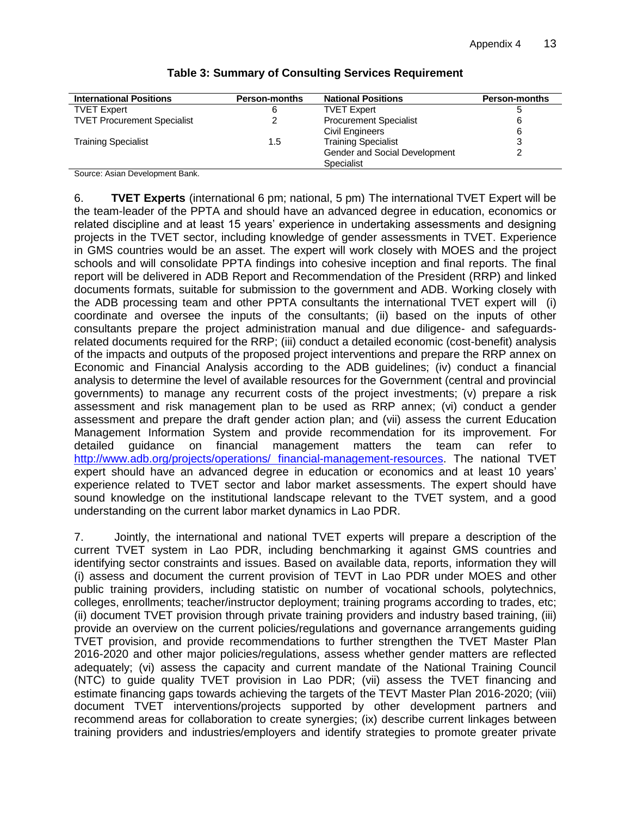| <b>International Positions</b>     | <b>Person-months</b> | <b>National Positions</b>     | <b>Person-months</b> |
|------------------------------------|----------------------|-------------------------------|----------------------|
| <b>TVET Expert</b>                 |                      | <b>TVET Expert</b>            |                      |
| <b>TVET Procurement Specialist</b> |                      | <b>Procurement Specialist</b> | 6                    |
|                                    |                      | Civil Engineers               | 6                    |
| <b>Training Specialist</b>         | 1.5                  | <b>Training Specialist</b>    |                      |
|                                    |                      | Gender and Social Development |                      |
|                                    |                      | Specialist                    |                      |

### **Table 3: Summary of Consulting Services Requirement**

Source: Asian Development Bank.

6. **TVET Experts** (international 6 pm; national, 5 pm) The international TVET Expert will be the team-leader of the PPTA and should have an advanced degree in education, economics or related discipline and at least 15 years' experience in undertaking assessments and designing projects in the TVET sector, including knowledge of gender assessments in TVET. Experience in GMS countries would be an asset. The expert will work closely with MOES and the project schools and will consolidate PPTA findings into cohesive inception and final reports. The final report will be delivered in ADB Report and Recommendation of the President (RRP) and linked documents formats, suitable for submission to the government and ADB. Working closely with the ADB processing team and other PPTA consultants the international TVET expert will (i) coordinate and oversee the inputs of the consultants; (ii) based on the inputs of other consultants prepare the project administration manual and due diligence- and safeguardsrelated documents required for the RRP; (iii) conduct a detailed economic (cost-benefit) analysis of the impacts and outputs of the proposed project interventions and prepare the RRP annex on Economic and Financial Analysis according to the ADB guidelines; (iv) conduct a financial analysis to determine the level of available resources for the Government (central and provincial governments) to manage any recurrent costs of the project investments; (v) prepare a risk assessment and risk management plan to be used as RRP annex; (vi) conduct a gender assessment and prepare the draft gender action plan; and (vii) assess the current Education Management Information System and provide recommendation for its improvement. For detailed guidance on financial management matters the team can refer to [http://www.adb.org/projects/operations/ financial-management-resources.](http://www.adb.org/projects/operations/%20financial-management-resources) The national TVET expert should have an advanced degree in education or economics and at least 10 years' experience related to TVET sector and labor market assessments. The expert should have sound knowledge on the institutional landscape relevant to the TVET system, and a good understanding on the current labor market dynamics in Lao PDR.

7. Jointly, the international and national TVET experts will prepare a description of the current TVET system in Lao PDR, including benchmarking it against GMS countries and identifying sector constraints and issues. Based on available data, reports, information they will (i) assess and document the current provision of TEVT in Lao PDR under MOES and other public training providers, including statistic on number of vocational schools, polytechnics, colleges, enrollments; teacher/instructor deployment; training programs according to trades, etc; (ii) document TVET provision through private training providers and industry based training, (iii) provide an overview on the current policies/regulations and governance arrangements guiding TVET provision, and provide recommendations to further strengthen the TVET Master Plan 2016-2020 and other major policies/regulations, assess whether gender matters are reflected adequately; (vi) assess the capacity and current mandate of the National Training Council (NTC) to guide quality TVET provision in Lao PDR; (vii) assess the TVET financing and estimate financing gaps towards achieving the targets of the TEVT Master Plan 2016-2020; (viii) document TVET interventions/projects supported by other development partners and recommend areas for collaboration to create synergies; (ix) describe current linkages between training providers and industries/employers and identify strategies to promote greater private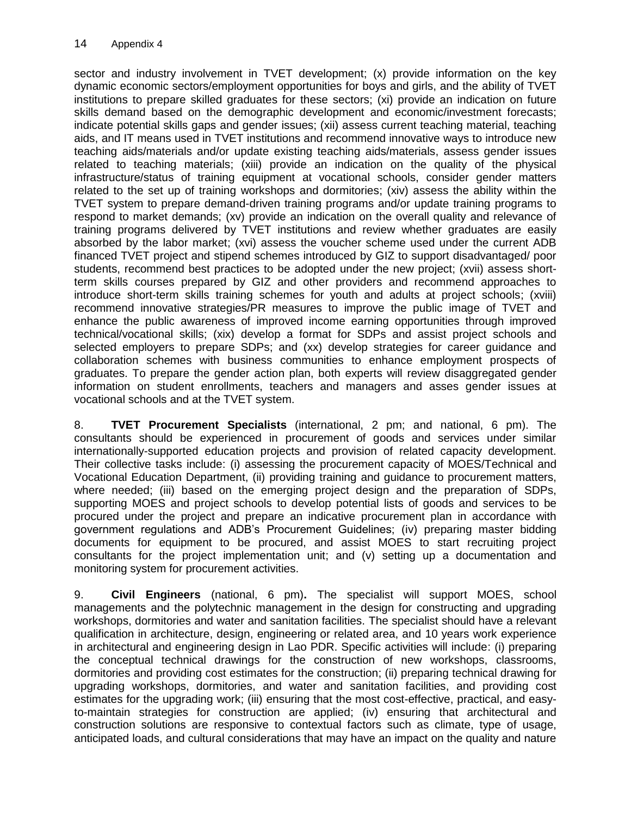sector and industry involvement in TVET development; (x) provide information on the key dynamic economic sectors/employment opportunities for boys and girls, and the ability of TVET institutions to prepare skilled graduates for these sectors; (xi) provide an indication on future skills demand based on the demographic development and economic/investment forecasts; indicate potential skills gaps and gender issues; (xii) assess current teaching material, teaching aids, and IT means used in TVET institutions and recommend innovative ways to introduce new teaching aids/materials and/or update existing teaching aids/materials, assess gender issues related to teaching materials; (xiii) provide an indication on the quality of the physical infrastructure/status of training equipment at vocational schools, consider gender matters related to the set up of training workshops and dormitories; (xiv) assess the ability within the TVET system to prepare demand-driven training programs and/or update training programs to respond to market demands; (xv) provide an indication on the overall quality and relevance of training programs delivered by TVET institutions and review whether graduates are easily absorbed by the labor market; (xvi) assess the voucher scheme used under the current ADB financed TVET project and stipend schemes introduced by GIZ to support disadvantaged/ poor students, recommend best practices to be adopted under the new project; (xvii) assess shortterm skills courses prepared by GIZ and other providers and recommend approaches to introduce short-term skills training schemes for youth and adults at project schools; (xviii) recommend innovative strategies/PR measures to improve the public image of TVET and enhance the public awareness of improved income earning opportunities through improved technical/vocational skills; (xix) develop a format for SDPs and assist project schools and selected employers to prepare SDPs; and (xx) develop strategies for career guidance and collaboration schemes with business communities to enhance employment prospects of graduates. To prepare the gender action plan, both experts will review disaggregated gender information on student enrollments, teachers and managers and asses gender issues at vocational schools and at the TVET system.

8. **TVET Procurement Specialists** (international, 2 pm; and national, 6 pm). The consultants should be experienced in procurement of goods and services under similar internationally-supported education projects and provision of related capacity development. Their collective tasks include: (i) assessing the procurement capacity of MOES/Technical and Vocational Education Department, (ii) providing training and guidance to procurement matters, where needed; (iii) based on the emerging project design and the preparation of SDPs, supporting MOES and project schools to develop potential lists of goods and services to be procured under the project and prepare an indicative procurement plan in accordance with government regulations and ADB's Procurement Guidelines; (iv) preparing master bidding documents for equipment to be procured, and assist MOES to start recruiting project consultants for the project implementation unit; and (v) setting up a documentation and monitoring system for procurement activities.

9. **Civil Engineers** (national, 6 pm)**.** The specialist will support MOES, school managements and the polytechnic management in the design for constructing and upgrading workshops, dormitories and water and sanitation facilities. The specialist should have a relevant qualification in architecture, design, engineering or related area, and 10 years work experience in architectural and engineering design in Lao PDR. Specific activities will include: (i) preparing the conceptual technical drawings for the construction of new workshops, classrooms, dormitories and providing cost estimates for the construction; (ii) preparing technical drawing for upgrading workshops, dormitories, and water and sanitation facilities, and providing cost estimates for the upgrading work; (iii) ensuring that the most cost-effective, practical, and easyto-maintain strategies for construction are applied; (iv) ensuring that architectural and construction solutions are responsive to contextual factors such as climate, type of usage, anticipated loads, and cultural considerations that may have an impact on the quality and nature